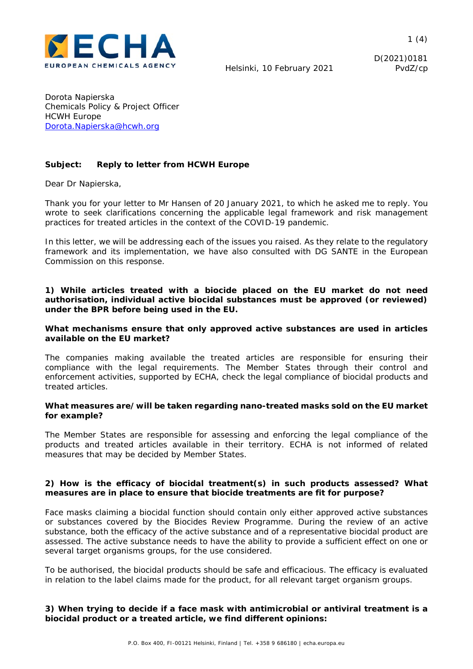

 $1(4)$ 

D(2021)0181

Dorota Napierska Chemicals Policy & Project Officer HCWH Europe Dorota.Napierska@hcwh.org

# **Subject: Reply to letter from HCWH Europe**

Dear Dr Napierska,

Thank you for your letter to Mr Hansen of 20 January 2021, to which he asked me to reply. You wrote to seek clarifications concerning the applicable legal framework and risk management practices for treated articles in the context of the COVID-19 pandemic.

In this letter, we will be addressing each of the issues you raised. As they relate to the regulatory framework and its implementation, we have also consulted with DG SANTE in the European Commission on this response.

### *1) While articles treated with a biocide placed on the EU market do not need authorisation, individual active biocidal substances must be approved (or reviewed) under the BPR before being used in the EU.*

### *What mechanisms ensure that only approved active substances are used in articles available on the EU market?*

The companies making available the treated articles are responsible for ensuring their compliance with the legal requirements. The Member States through their control and enforcement activities, supported by ECHA, check the legal compliance of biocidal products and treated articles.

### *What measures are/will be taken regarding nano-treated masks sold on the EU market for example?*

The Member States are responsible for assessing and enforcing the legal compliance of the products and treated articles available in their territory. ECHA is not informed of related measures that may be decided by Member States.

### *2) How is the efficacy of biocidal treatment(s) in such products assessed? What measures are in place to ensure that biocide treatments are fit for purpose?*

Face masks claiming a biocidal function should contain only either approved active substances or substances covered by the Biocides Review Programme. During the review of an active substance, both the efficacy of the active substance and of a representative biocidal product are assessed. The active substance needs to have the ability to provide a sufficient effect on one or several target organisms groups, for the use considered.

To be authorised, the biocidal products should be safe and efficacious. The efficacy is evaluated in relation to the label claims made for the product, for all relevant target organism groups.

# *3) When trying to decide if a face mask with antimicrobial or antiviral treatment is a biocidal product or a treated article, we find different opinions:*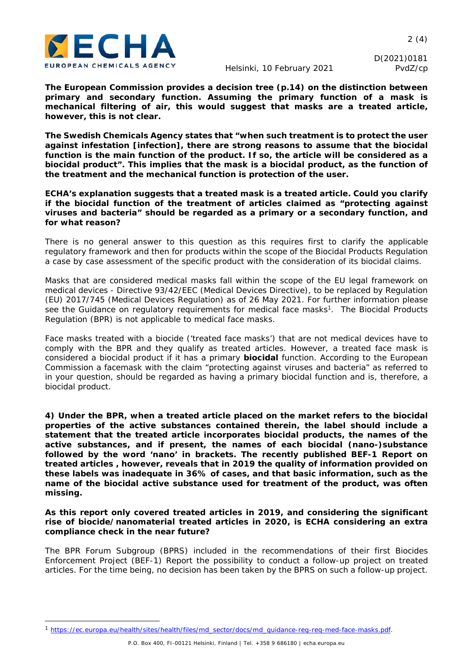

D(2021)0181

*The European Commission provides a decision tree (p.14) on the distinction between primary and secondary function. Assuming the primary function of a mask is mechanical filtering of air, this would suggest that masks are a treated article, however, this is not clear.* 

*The Swedish Chemicals Agency states that "when such treatment is to protect the user against infestation [infection], there are strong reasons to assume that the biocidal function is the main function of the product. If so, the article will be considered as a biocidal product". This implies that the mask is a biocidal product, as the function of the treatment and the mechanical function is protection of the user.* 

*ECHA's explanation suggests that a treated mask is a treated article. Could you clarify if the biocidal function of the treatment of articles claimed as "protecting against viruses and bacteria" should be regarded as a primary or a secondary function, and for what reason?* 

There is no general answer to this question as this requires first to clarify the applicable regulatory framework and then for products within the scope of the Biocidal Products Regulation a case by case assessment of the specific product with the consideration of its biocidal claims.

Masks that are considered medical masks fall within the scope of the EU legal framework on medical devices - Directive 93/42/EEC (Medical Devices Directive), to be replaced by Regulation (EU) 2017/745 (Medical Devices Regulation) as of 26 May 2021. For further information please see the Guidance on regulatory requirements for medical face masks<sup>1</sup>. The Biocidal Products Regulation (BPR) is not applicable to medical face masks.

Face masks treated with a biocide ('treated face masks') that are not medical devices have to comply with the BPR and they qualify as treated articles. However, a treated face mask is considered a biocidal product if it has a primary **biocidal** function. According to the European Commission a facemask with the claim "protecting against viruses and bacteria" as referred to in your question, should be regarded as having a primary biocidal function and is, therefore, a biocidal product.

*4) Under the BPR, when a treated article placed on the market refers to the biocidal properties of the active substances contained therein, the label should include a statement that the treated article incorporates biocidal products, the names of the active substances, and if present, the names of each biocidal (nano-)substance*  followed by the word 'nano' in brackets. The recently published BEF-1 Report on *treated articles , however, reveals that in 2019 the quality of information provided on these labels was inadequate in 36% of cases, and that basic information, such as the name of the biocidal active substance used for treatment of the product, was often missing.* 

*As this report only covered treated articles in 2019, and considering the significant rise of biocide/nanomaterial treated articles in 2020, is ECHA considering an extra compliance check in the near future?* 

The BPR Forum Subgroup (BPRS) included in the recommendations of their first Biocides Enforcement Project (BEF-1) Report the possibility to conduct a follow-up project on treated articles. For the time being, no decision has been taken by the BPRS on such a follow-up project.

<sup>1</sup> https://ec.europa.eu/health/sites/health/files/md\_sector/docs/md\_guidance-reg-req-med-face-masks.pdf.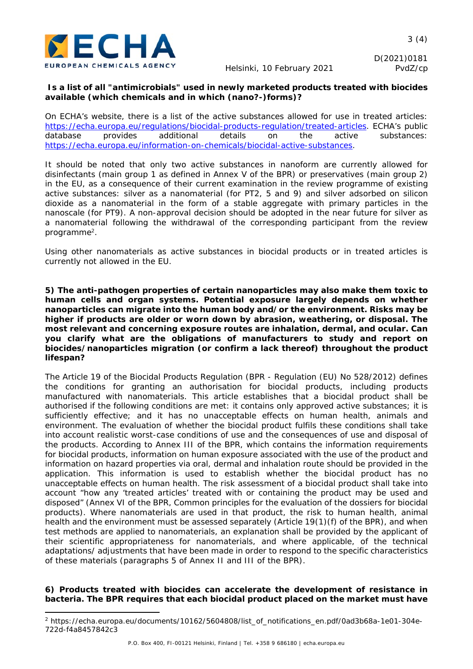

# *Is a list of all "antimicrobials" used in newly marketed products treated with biocides available (which chemicals and in which (nano?-)forms)?*

On ECHA's website, there is a list of the active substances allowed for use in treated articles: https://echa.europa.eu/regulations/biocidal-products-regulation/treated-articles. ECHA's public database provides additional details on the active substances: https://echa.europa.eu/information-on-chemicals/biocidal-active-substances.

It should be noted that only two active substances in nanoform are currently allowed for disinfectants (main group 1 as defined in Annex V of the BPR) or preservatives (main group 2) in the EU, as a consequence of their current examination in the review programme of existing active substances: silver as a nanomaterial (for PT2, 5 and 9) and silver adsorbed on silicon dioxide as a nanomaterial in the form of a stable aggregate with primary particles in the nanoscale (for PT9). A non-approval decision should be adopted in the near future for silver as a nanomaterial following the withdrawal of the corresponding participant from the review programme2.

Using other nanomaterials as active substances in biocidal products or in treated articles is currently not allowed in the EU.

*5) The anti-pathogen properties of certain nanoparticles may also make them toxic to human cells and organ systems. Potential exposure largely depends on whether nanoparticles can migrate into the human body and/or the environment. Risks may be higher if products are older or worn down by abrasion, weathering, or disposal. The most relevant and concerning exposure routes are inhalation, dermal, and ocular. Can you clarify what are the obligations of manufacturers to study and report on biocides/nanoparticles migration (or confirm a lack thereof) throughout the product lifespan?* 

The Article 19 of the Biocidal Products Regulation (BPR - Regulation (EU) No 528/2012) defines the conditions for granting an authorisation for biocidal products, including products manufactured with nanomaterials. This article establishes that a biocidal product shall be authorised if the following conditions are met: it contains only approved active substances; it is sufficiently effective; and it has no unacceptable effects on human health, animals and environment. The evaluation of whether the biocidal product fulfils these conditions shall take into account realistic worst-case conditions of use and the consequences of use and disposal of the products. According to Annex III of the BPR, which contains the information requirements for biocidal products, information on human exposure associated with the use of the product and information on hazard properties via oral, dermal and inhalation route should be provided in the application. This information is used to establish whether the biocidal product has no unacceptable effects on human health. The risk assessment of a biocidal product shall take into account "how any 'treated articles' treated with or containing the product may be used and disposed" (Annex VI of the BPR, Common principles for the evaluation of the dossiers for biocidal products). Where nanomaterials are used in that product, the risk to human health, animal health and the environment must be assessed separately (Article 19(1)(f) of the BPR), and when test methods are applied to nanomaterials, an explanation shall be provided by the applicant of their scientific appropriateness for nanomaterials, and where applicable, of the technical adaptations/ adjustments that have been made in order to respond to the specific characteristics of these materials (paragraphs 5 of Annex II and III of the BPR).

*6) Products treated with biocides can accelerate the development of resistance in bacteria. The BPR requires that each biocidal product placed on the market must have* 

<sup>2</sup> https://echa.europa.eu/documents/10162/5604808/list\_of\_notifications\_en.pdf/0ad3b68a-1e01-304e-722d-f4a8457842c3